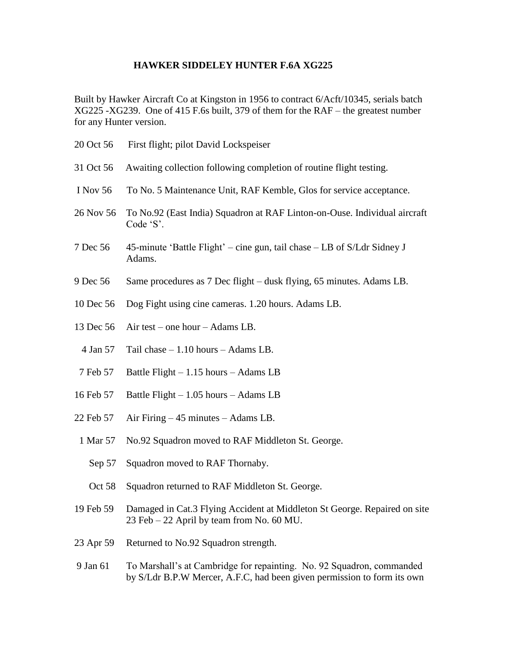## **HAWKER SIDDELEY HUNTER F.6A XG225**

Built by Hawker Aircraft Co at Kingston in 1956 to contract 6/Acft/10345, serials batch XG225 -XG239. One of 415 F.6s built, 379 of them for the RAF – the greatest number for any Hunter version.

| 20 Oct 56 | First flight; pilot David Lockspeiser                                                                                                            |
|-----------|--------------------------------------------------------------------------------------------------------------------------------------------------|
| 31 Oct 56 | Awaiting collection following completion of routine flight testing.                                                                              |
| I Nov 56  | To No. 5 Maintenance Unit, RAF Kemble, Glos for service acceptance.                                                                              |
| 26 Nov 56 | To No.92 (East India) Squadron at RAF Linton-on-Ouse. Individual aircraft<br>Code 'S'.                                                           |
| 7 Dec 56  | 45-minute 'Battle Flight' – cine gun, tail chase – LB of S/Ldr Sidney J<br>Adams.                                                                |
| 9 Dec 56  | Same procedures as 7 Dec flight – dusk flying, 65 minutes. Adams LB.                                                                             |
| 10 Dec 56 | Dog Fight using cine cameras. 1.20 hours. Adams LB.                                                                                              |
| 13 Dec 56 | Air test – one hour – Adams LB.                                                                                                                  |
| 4 Jan 57  | Tail chase $-1.10$ hours $-$ Adams LB.                                                                                                           |
| 7 Feb 57  | Battle Flight $-1.15$ hours $-$ Adams LB                                                                                                         |
| 16 Feb 57 | Battle Flight $-1.05$ hours $-$ Adams LB                                                                                                         |
| 22 Feb 57 | Air Firing $-45$ minutes $-$ Adams LB.                                                                                                           |
| 1 Mar 57  | No.92 Squadron moved to RAF Middleton St. George.                                                                                                |
| Sep 57    | Squadron moved to RAF Thornaby.                                                                                                                  |
| Oct 58    | Squadron returned to RAF Middleton St. George.                                                                                                   |
| 19 Feb 59 | Damaged in Cat.3 Flying Accident at Middleton St George. Repaired on site<br>23 Feb - 22 April by team from No. 60 MU.                           |
| 23 Apr 59 | Returned to No.92 Squadron strength.                                                                                                             |
| 9 Jan 61  | To Marshall's at Cambridge for repainting. No. 92 Squadron, commanded<br>by S/Ldr B.P.W Mercer, A.F.C, had been given permission to form its own |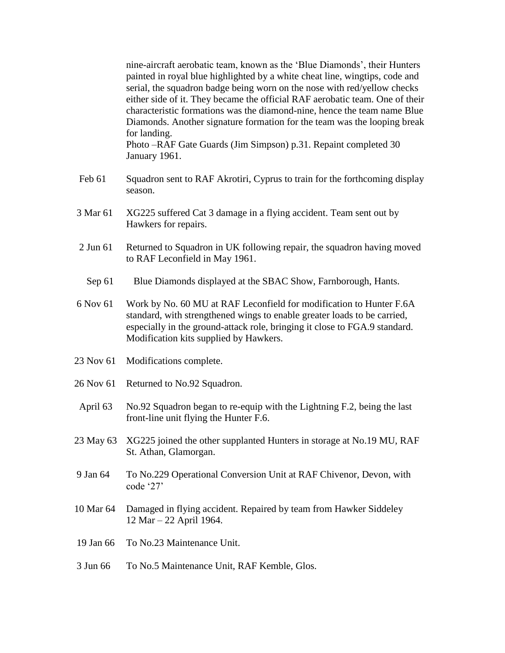nine-aircraft aerobatic team, known as the 'Blue Diamonds', their Hunters painted in royal blue highlighted by a white cheat line, wingtips, code and serial, the squadron badge being worn on the nose with red/yellow checks either side of it. They became the official RAF aerobatic team. One of their characteristic formations was the diamond-nine, hence the team name Blue Diamonds. Another signature formation for the team was the looping break for landing. Photo –RAF Gate Guards (Jim Simpson) p.31. Repaint completed 30

Feb 61 Squadron sent to RAF Akrotiri, Cyprus to train for the forthcoming display season.

- 3 Mar 61 XG225 suffered Cat 3 damage in a flying accident. Team sent out by Hawkers for repairs.
- 2 Jun 61 Returned to Squadron in UK following repair, the squadron having moved to RAF Leconfield in May 1961.
	- Sep 61 Blue Diamonds displayed at the SBAC Show, Farnborough, Hants.
- 6 Nov 61 Work by No. 60 MU at RAF Leconfield for modification to Hunter F.6A standard, with strengthened wings to enable greater loads to be carried, especially in the ground-attack role, bringing it close to FGA.9 standard. Modification kits supplied by Hawkers.
- 23 Nov 61 Modifications complete.

January 1961.

- 26 Nov 61 Returned to No.92 Squadron.
- April 63 No.92 Squadron began to re-equip with the Lightning F.2, being the last front-line unit flying the Hunter F.6.
- 23 May 63 XG225 joined the other supplanted Hunters in storage at No.19 MU, RAF St. Athan, Glamorgan.
- 9 Jan 64 To No.229 Operational Conversion Unit at RAF Chivenor, Devon, with code '27'
- 10 Mar 64 Damaged in flying accident. Repaired by team from Hawker Siddeley 12 Mar – 22 April 1964.
- 19 Jan 66 To No.23 Maintenance Unit.
- 3 Jun 66 To No.5 Maintenance Unit, RAF Kemble, Glos.